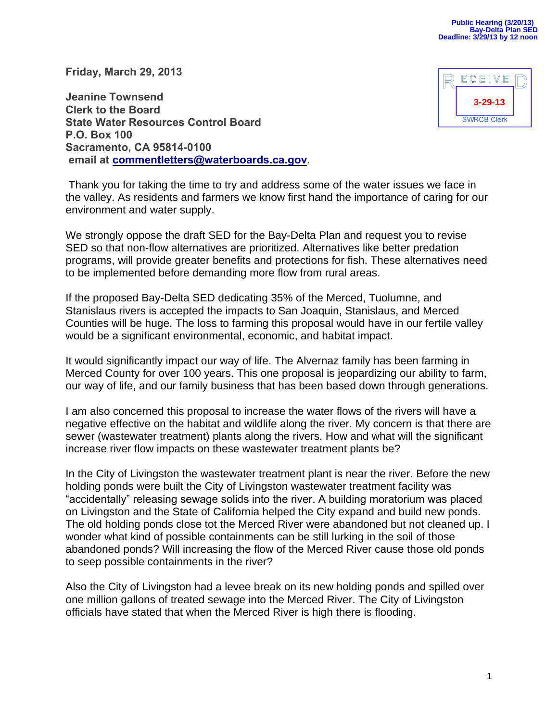**Friday, March 29, 2013**

**Jeanine Townsend Clerk to the Board State Water Resources Control Board P.O. Box 100 Sacramento, CA 95814-0100 email at [commentletters@waterboards.ca.gov.](mailto:commentletters@waterboards.ca.gov)**

| ECEIVE             |  |
|--------------------|--|
| $3 - 29 - 13$      |  |
| <b>SWRCB Clerk</b> |  |

Thank you for taking the time to try and address some of the water issues we face in the valley. As residents and farmers we know first hand the importance of caring for our environment and water supply.

We strongly oppose the draft SED for the Bay-Delta Plan and request you to revise SED so that non-flow alternatives are prioritized. Alternatives like better predation programs, will provide greater benefits and protections for fish. These alternatives need to be implemented before demanding more flow from rural areas.

If the proposed Bay-Delta SED dedicating 35% of the Merced, Tuolumne, and Stanislaus rivers is accepted the impacts to San Joaquin, Stanislaus, and Merced Counties will be huge. The loss to farming this proposal would have in our fertile valley would be a significant environmental, economic, and habitat impact.

It would significantly impact our way of life. The Alvernaz family has been farming in Merced County for over 100 years. This one proposal is jeopardizing our ability to farm, our way of life, and our family business that has been based down through generations.

I am also concerned this proposal to increase the water flows of the rivers will have a negative effective on the habitat and wildlife along the river. My concern is that there are sewer (wastewater treatment) plants along the rivers. How and what will the significant increase river flow impacts on these wastewater treatment plants be?

In the City of Livingston the wastewater treatment plant is near the river. Before the new holding ponds were built the City of Livingston wastewater treatment facility was "accidentally" releasing sewage solids into the river. A building moratorium was placed on Livingston and the State of California helped the City expand and build new ponds. The old holding ponds close tot the Merced River were abandoned but not cleaned up. I wonder what kind of possible containments can be still lurking in the soil of those abandoned ponds? Will increasing the flow of the Merced River cause those old ponds to seep possible containments in the river?

Also the City of Livingston had a levee break on its new holding ponds and spilled over one million gallons of treated sewage into the Merced River. The City of Livingston officials have stated that when the Merced River is high there is flooding.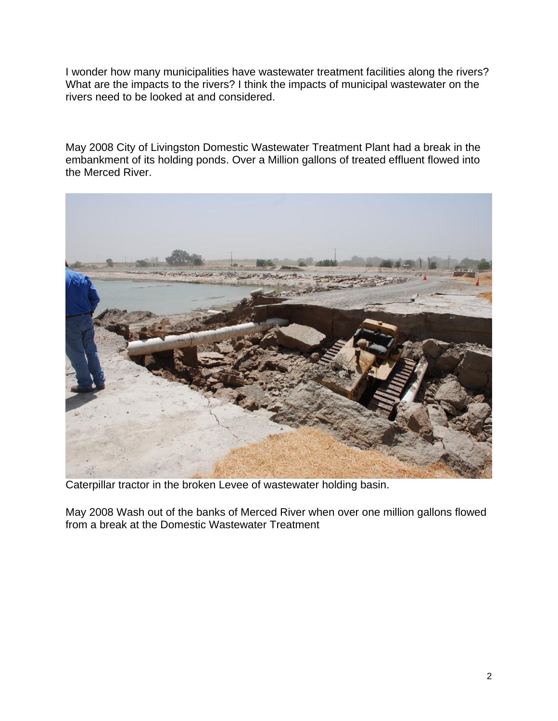I wonder how many municipalities have wastewater treatment facilities along the rivers? What are the impacts to the rivers? I think the impacts of municipal wastewater on the rivers need to be looked at and considered.

May 2008 City of Livingston Domestic Wastewater Treatment Plant had a break in the embankment of its holding ponds. Over a Million gallons of treated effluent flowed into the Merced River.



Caterpillar tractor in the broken Levee of wastewater holding basin.

May 2008 Wash out of the banks of Merced River when over one million gallons flowed from a break at the Domestic Wastewater Treatment